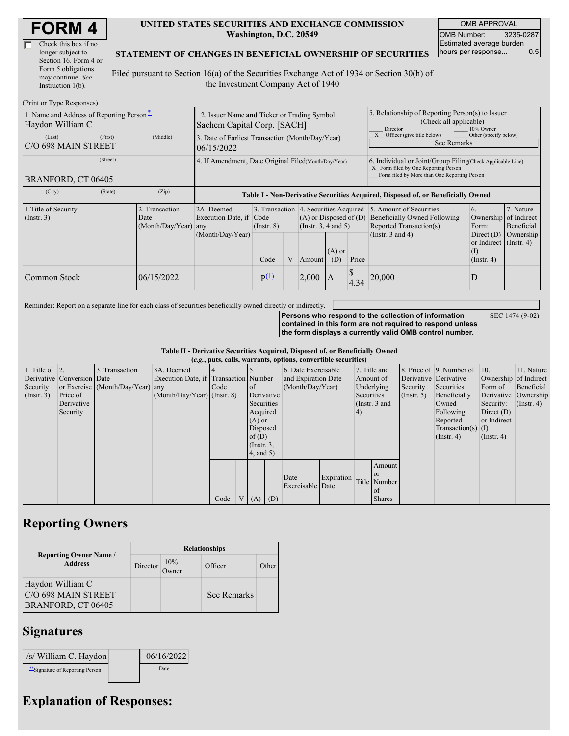| Check this box if no  |
|-----------------------|
| longer subject to     |
| Section 16. Form 4 or |
| Form 5 obligations    |
| may continue. See     |
| Instruction 1(b).     |

#### **UNITED STATES SECURITIES AND EXCHANGE COMMISSION Washington, D.C. 20549**

OMB APPROVAL OMB Number: 3235-0287 Estimated average burden hours per response... 0.5

### **STATEMENT OF CHANGES IN BENEFICIAL OWNERSHIP OF SECURITIES**

Filed pursuant to Section 16(a) of the Securities Exchange Act of 1934 or Section 30(h) of the Investment Company Act of 1940

| (Print or Type Responses)                                    |                                                      |                                                  |                                                                                  |                         |   |        |                                                                                                                                                    |      |                                                                                                                    |                                                                                                                 |                                      |  |
|--------------------------------------------------------------|------------------------------------------------------|--------------------------------------------------|----------------------------------------------------------------------------------|-------------------------|---|--------|----------------------------------------------------------------------------------------------------------------------------------------------------|------|--------------------------------------------------------------------------------------------------------------------|-----------------------------------------------------------------------------------------------------------------|--------------------------------------|--|
| 1. Name and Address of Reporting Person-<br>Haydon William C |                                                      |                                                  | 2. Issuer Name and Ticker or Trading Symbol<br>Sachem Capital Corp. [SACH]       |                         |   |        |                                                                                                                                                    |      | 5. Relationship of Reporting Person(s) to Issuer<br>(Check all applicable)<br>Director<br>10% Owner                |                                                                                                                 |                                      |  |
| (Last)<br>IC/O 698 MAIN STREET                               | (First)                                              | (Middle)                                         | 3. Date of Earliest Transaction (Month/Day/Year)<br>06/15/2022                   |                         |   |        |                                                                                                                                                    |      | Other (specify below)<br>Officer (give title below)<br>See Remarks                                                 |                                                                                                                 |                                      |  |
| BRANFORD, CT 06405                                           | 4. If Amendment, Date Original Filed(Month/Day/Year) |                                                  |                                                                                  |                         |   |        | 6. Individual or Joint/Group Filing(Check Applicable Line)<br>X Form filed by One Reporting Person<br>Form filed by More than One Reporting Person |      |                                                                                                                    |                                                                                                                 |                                      |  |
| (City)                                                       | (State)                                              | (Zip)                                            | Table I - Non-Derivative Securities Acquired, Disposed of, or Beneficially Owned |                         |   |        |                                                                                                                                                    |      |                                                                                                                    |                                                                                                                 |                                      |  |
| 1. Title of Security<br>$($ Instr. 3 $)$                     |                                                      | 2. Transaction<br>Date<br>$(Month/Day/Year)$ any | 2A. Deemed<br>Execution Date, if Code<br>(Month/Day/Year)                        | $($ Instr. $8)$<br>Code | V | Amount | 3. Transaction 4. Securities Acquired<br>$(A)$ or Disposed of $(D)$<br>$($ Instr. 3, 4 and 5 $)$<br>$(A)$ or<br>Price<br>(D)                       |      | 5. Amount of Securities<br><b>Beneficially Owned Following</b><br>Reported Transaction(s)<br>(Instr. $3$ and $4$ ) | 6.<br>Ownership of Indirect<br>Form:<br>Direct $(D)$<br>or Indirect $($ Instr. 4 $)$<br>(I)<br>$($ Instr. 4 $)$ | 7. Nature<br>Beneficial<br>Ownership |  |
| Common Stock                                                 |                                                      | 06/15/2022                                       |                                                                                  | p(1)                    |   | 2,000  | IA                                                                                                                                                 | 4.34 | 20,000                                                                                                             | D                                                                                                               |                                      |  |

Reminder: Report on a separate line for each class of securities beneficially owned directly or indirectly.

SEC 1474 (9-02)

**Persons who respond to the collection of information contained in this form are not required to respond unless the form displays a currently valid OMB control number.**

**Table II - Derivative Securities Acquired, Disposed of, or Beneficially Owned (***e.g.***, puts, calls, warrants, options, convertible securities)**

| $(0.5)$ , puts, cans, warrants, options, convertible securities |                            |                                  |                                       |      |                |                 |  |                     |            |           |               |            |                              |                       |                  |  |                      |
|-----------------------------------------------------------------|----------------------------|----------------------------------|---------------------------------------|------|----------------|-----------------|--|---------------------|------------|-----------|---------------|------------|------------------------------|-----------------------|------------------|--|----------------------|
| 1. Title of $\vert$ 2.                                          |                            | 3. Transaction                   | 3A. Deemed                            |      |                |                 |  | 6. Date Exercisable |            |           | 7. Title and  |            | 8. Price of 9. Number of 10. |                       | 11. Nature       |  |                      |
|                                                                 | Derivative Conversion Date |                                  | Execution Date, if Transaction Number |      |                |                 |  | and Expiration Date |            | Amount of |               |            | Derivative Derivative        | Ownership of Indirect |                  |  |                      |
| Security                                                        |                            | or Exercise (Month/Day/Year) any |                                       | Code |                | $\circ$ f       |  | (Month/Day/Year)    |            |           | Underlying    | Security   | Securities                   | Form of               | Beneficial       |  |                      |
| $($ Instr. 3 $)$                                                | Price of                   |                                  | $(Month/Day/Year)$ (Instr. 8)         |      |                | Derivative      |  |                     |            |           |               | Securities |                              | (Insert. 5)           | Beneficially     |  | Derivative Ownership |
|                                                                 | Derivative                 |                                  |                                       |      |                | Securities      |  |                     |            |           | (Instr. 3 and |            | Owned                        | Security:             | $($ Instr. 4 $)$ |  |                      |
|                                                                 | Security                   |                                  |                                       |      |                | Acquired        |  |                     |            | (4)       |               |            | Following                    | Direct $(D)$          |                  |  |                      |
|                                                                 |                            |                                  |                                       |      |                | $(A)$ or        |  |                     |            |           |               |            | Reported                     | or Indirect           |                  |  |                      |
|                                                                 |                            |                                  |                                       |      |                | Disposed        |  |                     |            |           |               |            | $Transaction(s)$ (I)         |                       |                  |  |                      |
|                                                                 |                            |                                  |                                       |      |                | of(D)           |  |                     |            |           |               |            | $($ Instr. 4 $)$             | $($ Instr. 4 $)$      |                  |  |                      |
|                                                                 |                            |                                  |                                       |      |                | $($ Instr. $3,$ |  |                     |            |           |               |            |                              |                       |                  |  |                      |
|                                                                 |                            |                                  |                                       |      |                | 4, and 5)       |  |                     |            |           |               |            |                              |                       |                  |  |                      |
|                                                                 |                            |                                  |                                       |      |                |                 |  |                     |            |           | Amount        |            |                              |                       |                  |  |                      |
|                                                                 |                            |                                  |                                       |      |                |                 |  | Date                | Expiration |           | or or         |            |                              |                       |                  |  |                      |
|                                                                 |                            |                                  |                                       |      |                |                 |  | Exercisable Date    |            |           | Title Number  |            |                              |                       |                  |  |                      |
|                                                                 |                            |                                  |                                       |      |                |                 |  |                     |            |           | of            |            |                              |                       |                  |  |                      |
|                                                                 |                            |                                  |                                       | Code | V <sub>1</sub> | $(A)$ $(D)$     |  |                     |            |           | <b>Shares</b> |            |                              |                       |                  |  |                      |

## **Reporting Owners**

|                                                               | <b>Relationships</b> |                      |             |       |  |  |  |  |
|---------------------------------------------------------------|----------------------|----------------------|-------------|-------|--|--|--|--|
| <b>Reporting Owner Name /</b><br><b>Address</b>               | Director             | 10%<br><b>J</b> wner | Officer     | Other |  |  |  |  |
| Haydon William C<br>C/O 698 MAIN STREET<br>BRANFORD, CT 06405 |                      |                      | See Remarks |       |  |  |  |  |

## **Signatures**

| /s/ William C. Haydon            | 06/16/2022 |
|----------------------------------|------------|
| ** Signature of Reporting Person | Date       |

# **Explanation of Responses:**